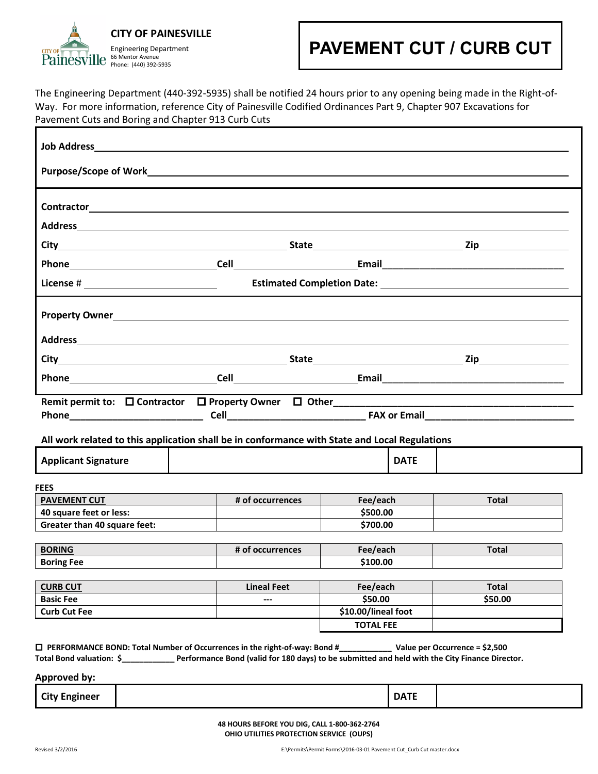#### **CITY OF PAINESVILLE**

Engineering Department 66 Mentor Avenue Phone: (440) 392-5935

## **PAVEMENT CUT / CURB CUT**

The Engineering Department (440-392-5935) shall be notified 24 hours prior to any opening being made in the Right-of-Way. For more information, reference City of Painesville Codified Ordinances Part 9, Chapter 907 Excavations for Pavement Cuts and Boring and Chapter 913 Curb Cuts

|                                                                                                                                                                          | <b>Contractor</b> <u>Contractor</u> <b>Contractor</b>                                         |                                |             |              |
|--------------------------------------------------------------------------------------------------------------------------------------------------------------------------|-----------------------------------------------------------------------------------------------|--------------------------------|-------------|--------------|
|                                                                                                                                                                          |                                                                                               |                                |             |              |
|                                                                                                                                                                          |                                                                                               |                                |             |              |
|                                                                                                                                                                          |                                                                                               |                                |             |              |
|                                                                                                                                                                          |                                                                                               |                                |             |              |
|                                                                                                                                                                          |                                                                                               |                                |             |              |
|                                                                                                                                                                          |                                                                                               |                                |             |              |
|                                                                                                                                                                          |                                                                                               |                                |             |              |
|                                                                                                                                                                          |                                                                                               |                                |             |              |
|                                                                                                                                                                          |                                                                                               |                                |             |              |
|                                                                                                                                                                          |                                                                                               |                                |             |              |
|                                                                                                                                                                          |                                                                                               |                                |             |              |
|                                                                                                                                                                          |                                                                                               |                                |             |              |
|                                                                                                                                                                          | All work related to this application shall be in conformance with State and Local Regulations |                                |             |              |
|                                                                                                                                                                          |                                                                                               |                                | <b>DATE</b> |              |
|                                                                                                                                                                          |                                                                                               |                                |             |              |
|                                                                                                                                                                          | # of occurrences                                                                              | Fee/each                       |             | <b>Total</b> |
|                                                                                                                                                                          |                                                                                               | \$500.00                       |             |              |
|                                                                                                                                                                          |                                                                                               | \$700.00                       |             |              |
|                                                                                                                                                                          | # of occurrences                                                                              | Fee/each                       |             | <b>Total</b> |
| <b>Applicant Signature</b><br><b>FEES</b><br><b>PAVEMENT CUT</b><br>40 square feet or less:<br><b>Greater than 40 square feet:</b><br><b>BORING</b><br><b>Boring Fee</b> |                                                                                               | \$100.00                       |             |              |
|                                                                                                                                                                          |                                                                                               |                                |             |              |
|                                                                                                                                                                          | <b>Lineal Feet</b><br>---                                                                     | Fee/each                       |             | <b>Total</b> |
| <b>CURB CUT</b><br><b>Basic Fee</b><br><b>Curb Cut Fee</b>                                                                                                               |                                                                                               | \$50.00<br>\$10.00/lineal foot |             | \$50.00      |

**Approved by:** 

| <b>City Engineer</b> | <b>DATE</b> |  |
|----------------------|-------------|--|
|                      |             |  |

**48 HOURS BEFORE YOU DIG, CALL 1-800-362-2764 OHIO UTILITIES PROTECTION SERVICE (OUPS)**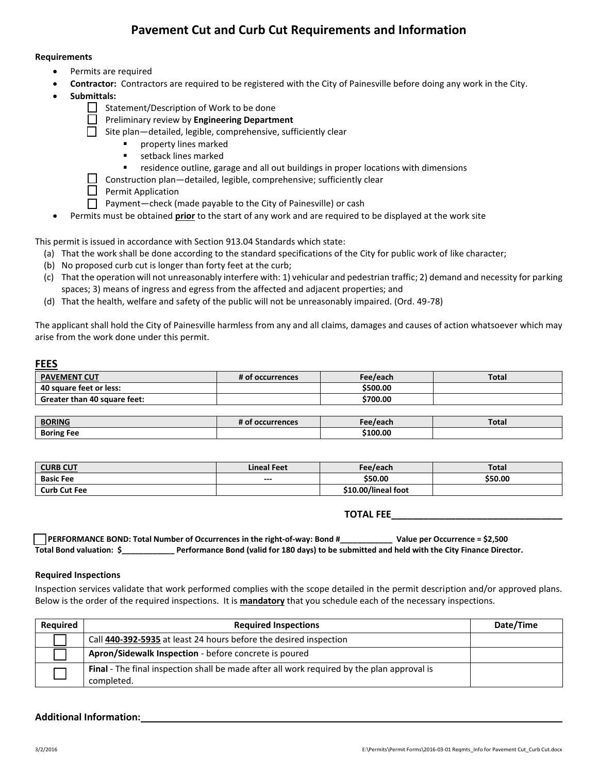## **Pavement Cut and Curb Cut Requirements and Information**

#### **Requirements**

- Permits are required
- **Contractor:** Contractors are required to be registered with the City of Painesville before doing any work in the City.
- **Submittals:**
	- Statement/Description of Work to be done
	- Preliminary review by **Engineering Department**
	- Site plan—detailed, legible, comprehensive, sufficiently clear
		- **Party lines marked**
		- **setback lines marked**
		- residence outline, garage and all out buildings in proper locations with dimensions
	- $\Box$  Construction plan—detailed, legible, comprehensive; sufficiently clear
	- $\Box$  Permit Application
	- Payment—check (made payable to the City of Painesville) or cash
- Permits must be obtained **prior** to the start of any work and are required to be displayed at the work site

This permit is issued in accordance with Section 913.04 Standards which state:

- (a) That the work shall be done according to the standard specifications of the City for public work of like character;
- (b) No proposed curb cut is longer than forty feet at the curb;
- (c) That the operation will not unreasonably interfere with: 1) vehicular and pedestrian traffic; 2) demand and necessity for parking spaces; 3) means of ingress and egress from the affected and adjacent properties; and
- (d) That the health, welfare and safety of the public will not be unreasonably impaired. (Ord. 49-78)

The applicant shall hold the City of Painesville harmless from any and all claims, damages and causes of action whatsoever which may arise from the work done under this permit.

#### **FEES**

| <b>PAVEMENT CUT</b>          | # of occurrences | Fee/each | Total |
|------------------------------|------------------|----------|-------|
| 40 square feet or less:      |                  | \$500.00 |       |
| Greater than 40 square feet: |                  | \$700.00 |       |

| <b>BORING</b>     | <br>ccurrences<br>Oι<br>ு | . In a<br>769UI. | <b>Total</b> |
|-------------------|---------------------------|------------------|--------------|
| <b>Boring Fee</b> |                           | \$100.00         |              |

| <b>CURB CUT</b>     | <b>Lineal Feet</b> | Fee/each            | Total   |
|---------------------|--------------------|---------------------|---------|
| <b>Basic Fee</b>    | $--$               | \$50.00             | \$50.00 |
| <b>Curb Cut Fee</b> |                    | \$10.00/lineal foot |         |

**TOTAL FEE\_\_\_\_\_\_\_\_\_\_\_\_\_\_\_\_\_\_\_\_\_\_\_\_\_\_\_\_\_\_\_\_**

|                          | <b>PERFORMANCE BOND: Total Number of Occurrences in the right-of-way: Bond #</b>               | Value per Occurrence = \$2,500 |
|--------------------------|------------------------------------------------------------------------------------------------|--------------------------------|
| Total Bond valuation: \$ | Performance Bond (valid for 180 days) to be submitted and held with the City Finance Director. |                                |

#### **Required Inspections**

Inspection services validate that work performed complies with the scope detailed in the permit description and/or approved plans. Below is the order of the required inspections. It is **mandatory** that you schedule each of the necessary inspections.

| <b>Required</b> | <b>Required Inspections</b>                                                                              | Date/Time |
|-----------------|----------------------------------------------------------------------------------------------------------|-----------|
|                 | Call 440-392-5935 at least 24 hours before the desired inspection                                        |           |
|                 | Apron/Sidewalk Inspection - before concrete is poured                                                    |           |
|                 | Final - The final inspection shall be made after all work required by the plan approval is<br>completed. |           |

#### **Additional Information:**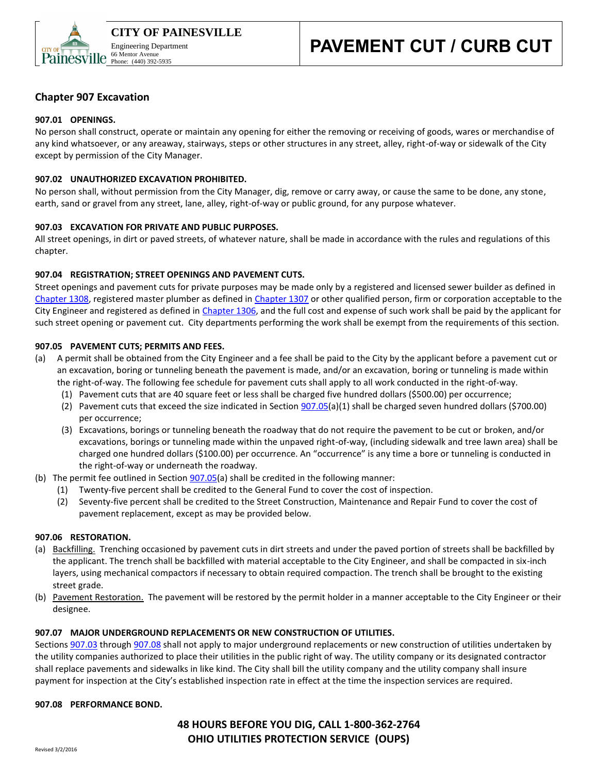

#### **Chapter 907 Excavation**

#### **907.01 OPENINGS.**

No person shall construct, operate or maintain any opening for either the removing or receiving of goods, wares or merchandise of any kind whatsoever, or any areaway, stairways, steps or other structures in any street, alley, right-of-way or sidewalk of the City except by permission of the City Manager.

#### **907.02 UNAUTHORIZED EXCAVATION PROHIBITED.**

No person shall, without permission from the City Manager, dig, remove or carry away, or cause the same to be done, any stone, earth, sand or gravel from any street, lane, alley, right-of-way or public ground, for any purpose whatever.

#### **907.03 EXCAVATION FOR PRIVATE AND PUBLIC PURPOSES.**

All street openings, in dirt or paved streets, of whatever nature, shall be made in accordance with the rules and regulations of this chapter.

#### **907.04 REGISTRATION; STREET OPENINGS AND PAVEMENT CUTS.**

Street openings and pavement cuts for private purposes may be made only by a registered and licensed sewer builder as defined in [Chapter 1308,](http://library.amlegal.com/nxt/gateway.dll?f=jumplink$jumplink_x=Advanced$jumplink_vpc=first$jumplink_xsl=querylink.xsl$jumplink_sel=title;path;content-type;home-title;item-bookmark$jumplink_d=ohio(painesville_oh)$jumplink_q=%5bfield%20folio-destination-name:) registered master plumber as defined in [Chapter 1307](http://library.amlegal.com/nxt/gateway.dll?f=jumplink$jumplink_x=Advanced$jumplink_vpc=first$jumplink_xsl=querylink.xsl$jumplink_sel=title;path;content-type;home-title;item-bookmark$jumplink_d=ohio(painesville_oh)$jumplink_q=%5bfield%20folio-destination-name:) or other qualified person, firm or corporation acceptable to the City Engineer and registered as defined in [Chapter 1306,](http://library.amlegal.com/nxt/gateway.dll?f=jumplink$jumplink_x=Advanced$jumplink_vpc=first$jumplink_xsl=querylink.xsl$jumplink_sel=title;path;content-type;home-title;item-bookmark$jumplink_d=ohio(painesville_oh)$jumplink_q=%5bfield%20folio-destination-name:) and the full cost and expense of such work shall be paid by the applicant for such street opening or pavement cut. City departments performing the work shall be exempt from the requirements of this section.

#### **907.05 PAVEMENT CUTS; PERMITS AND FEES.**

- (a) A permit shall be obtained from the City Engineer and a fee shall be paid to the City by the applicant before a pavement cut or an excavation, boring or tunneling beneath the pavement is made, and/or an excavation, boring or tunneling is made within the right-of-way. The following fee schedule for pavement cuts shall apply to all work conducted in the right-of-way.
	- (1) Pavement cuts that are 40 square feet or less shall be charged five hundred dollars (\$500.00) per occurrence;
	- (2) Pavement cuts that exceed the size indicated in Section [907.05\(](http://library.amlegal.com/nxt/gateway.dll?f=jumplink$jumplink_x=Advanced$jumplink_vpc=first$jumplink_xsl=querylink.xsl$jumplink_sel=title;path;content-type;home-title;item-bookmark$jumplink_d=ohio(painesville_oh)$jumplink_q=%5bfield%20folio-destination-name:)a)(1) shall be charged seven hundred dollars (\$700.00) per occurrence;
	- (3) Excavations, borings or tunneling beneath the roadway that do not require the pavement to be cut or broken, and/or excavations, borings or tunneling made within the unpaved right-of-way, (including sidewalk and tree lawn area) shall be charged one hundred dollars (\$100.00) per occurrence. An "occurrence" is any time a bore or tunneling is conducted in the right-of-way or underneath the roadway.
- (b) The permit fee outlined in Section  $907.05(a)$  shall be credited in the following manner:
	- (1) Twenty-five percent shall be credited to the General Fund to cover the cost of inspection.
	- (2) Seventy-five percent shall be credited to the Street Construction, Maintenance and Repair Fund to cover the cost of pavement replacement, except as may be provided below.

#### **907.06 RESTORATION.**

- (a) Backfilling. Trenching occasioned by pavement cuts in dirt streets and under the paved portion of streets shall be backfilled by the applicant. The trench shall be backfilled with material acceptable to the City Engineer, and shall be compacted in six-inch layers, using mechanical compactors if necessary to obtain required compaction. The trench shall be brought to the existing street grade.
- (b) Pavement Restoration. The pavement will be restored by the permit holder in a manner acceptable to the City Engineer or their designee.

#### **907.07 MAJOR UNDERGROUND REPLACEMENTS OR NEW CONSTRUCTION OF UTILITIES.**

Sections [907.03](http://library.amlegal.com/nxt/gateway.dll?f=jumplink$jumplink_x=Advanced$jumplink_vpc=first$jumplink_xsl=querylink.xsl$jumplink_sel=title;path;content-type;home-title;item-bookmark$jumplink_d=ohio(painesville_oh)$jumplink_q=%5bfield%20folio-destination-name:) through [907.08](http://library.amlegal.com/nxt/gateway.dll?f=jumplink$jumplink_x=Advanced$jumplink_vpc=first$jumplink_xsl=querylink.xsl$jumplink_sel=title;path;content-type;home-title;item-bookmark$jumplink_d=ohio(painesville_oh)$jumplink_q=%5bfield%20folio-destination-name:) shall not apply to major underground replacements or new construction of utilities undertaken by the utility companies authorized to place their utilities in the public right of way. The utility company or its designated contractor shall replace pavements and sidewalks in like kind. The City shall bill the utility company and the utility company shall insure payment for inspection at the City's established inspection rate in effect at the time the inspection services are required.

#### **907.08 PERFORMANCE BOND.**

### **48 HOURS BEFORE YOU DIG, CALL 1-800-362-2764 OHIO UTILITIES PROTECTION SERVICE (OUPS)**